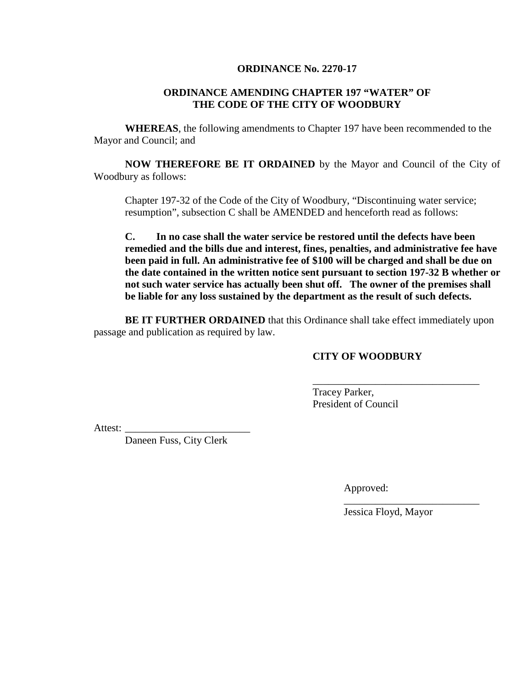## **ORDINANCE No. 2270-17**

## **ORDINANCE AMENDING CHAPTER 197 "WATER" OF THE CODE OF THE CITY OF WOODBURY**

**WHEREAS**, the following amendments to Chapter 197 have been recommended to the Mayor and Council; and

**NOW THEREFORE BE IT ORDAINED** by the Mayor and Council of the City of Woodbury as follows:

Chapter 197-32 of the Code of the City of Woodbury, "Discontinuing water service; resumption", subsection C shall be AMENDED and henceforth read as follows:

**C. In no case shall the water service be restored until the defects have been remedied and the bills due and interest, fines, penalties, and administrative fee have been paid in full. An administrative fee of \$100 will be charged and shall be due on the date contained in the written notice sent pursuant to section 197-32 B whether or not such water service has actually been shut off. The owner of the premises shall be liable for any loss sustained by the department as the result of such defects.**

**BE IT FURTHER ORDAINED** that this Ordinance shall take effect immediately upon passage and publication as required by law.

## **CITY OF WOODBURY**

\_\_\_\_\_\_\_\_\_\_\_\_\_\_\_\_\_\_\_\_\_\_\_\_\_\_\_\_\_\_\_\_

Tracey Parker, President of Council

Attest:

Daneen Fuss, City Clerk

Approved:

Jessica Floyd, Mayor

\_\_\_\_\_\_\_\_\_\_\_\_\_\_\_\_\_\_\_\_\_\_\_\_\_\_